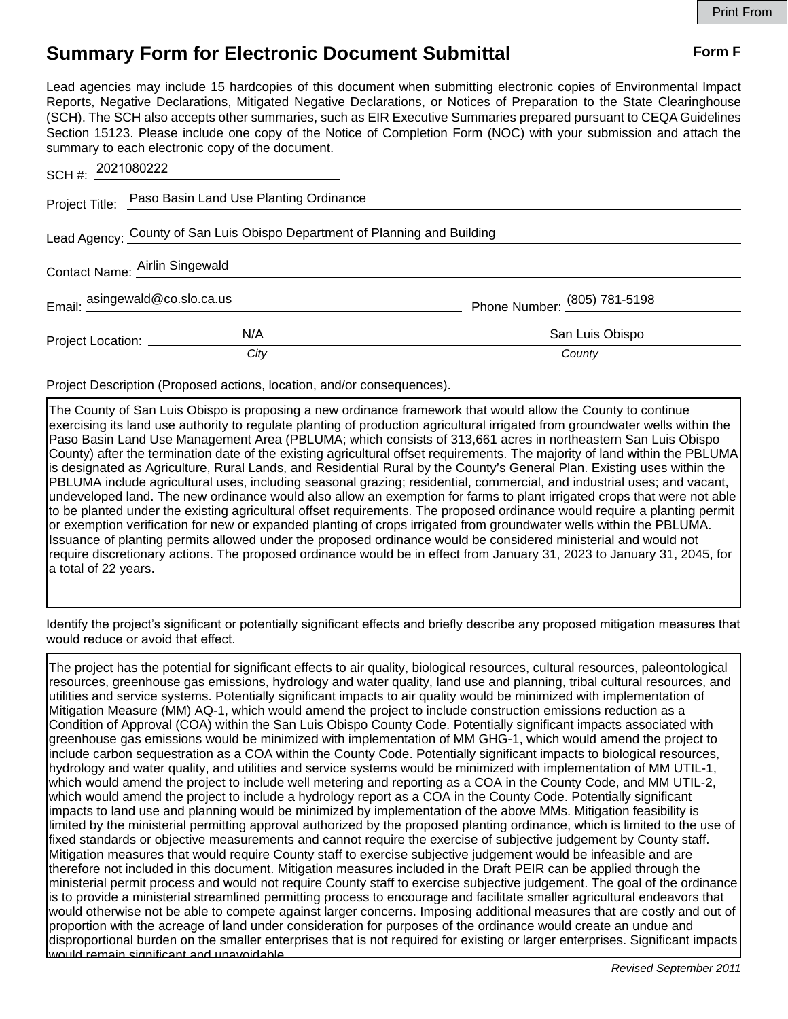## **Summary Form for Electronic Document Submittal Form F Form F**

Lead agencies may include 15 hardcopies of this document when submitting electronic copies of Environmental Impact Reports, Negative Declarations, Mitigated Negative Declarations, or Notices of Preparation to the State Clearinghouse (SCH). The SCH also accepts other summaries, such as EIR Executive Summaries prepared pursuant to CEQA Guidelines Section 15123. Please include one copy of the Notice of Completion Form (NOC) with your submission and attach the summary to each electronic copy of the document.

| SCH #: 2021080222                                                          |                                                       |                                |
|----------------------------------------------------------------------------|-------------------------------------------------------|--------------------------------|
|                                                                            | Project Title: Paso Basin Land Use Planting Ordinance |                                |
| Lead Agency: County of San Luis Obispo Department of Planning and Building |                                                       |                                |
| Contact Name: Airlin Singewald                                             |                                                       |                                |
| Email: $\frac{\text{asingewald@co.slo.ca.us}}{}$                           |                                                       | Phone Number: $(805)$ 781-5198 |
| Project Location: _________                                                | N/A                                                   | San Luis Obispo                |
|                                                                            | City                                                  | County                         |

Project Description (Proposed actions, location, and/or consequences).

The County of San Luis Obispo is proposing a new ordinance framework that would allow the County to continue exercising its land use authority to regulate planting of production agricultural irrigated from groundwater wells within the Paso Basin Land Use Management Area (PBLUMA; which consists of 313,661 acres in northeastern San Luis Obispo County) after the termination date of the existing agricultural offset requirements. The majority of land within the PBLUMA is designated as Agriculture, Rural Lands, and Residential Rural by the County's General Plan. Existing uses within the PBLUMA include agricultural uses, including seasonal grazing; residential, commercial, and industrial uses; and vacant, undeveloped land. The new ordinance would also allow an exemption for farms to plant irrigated crops that were not able to be planted under the existing agricultural offset requirements. The proposed ordinance would require a planting permit or exemption verification for new or expanded planting of crops irrigated from groundwater wells within the PBLUMA. Issuance of planting permits allowed under the proposed ordinance would be considered ministerial and would not require discretionary actions. The proposed ordinance would be in effect from January 31, 2023 to January 31, 2045, for a total of 22 years.

Identify the project's significant or potentially significant effects and briefly describe any proposed mitigation measures that would reduce or avoid that effect.

The project has the potential for significant effects to air quality, biological resources, cultural resources, paleontological resources, greenhouse gas emissions, hydrology and water quality, land use and planning, tribal cultural resources, and utilities and service systems. Potentially significant impacts to air quality would be minimized with implementation of Mitigation Measure (MM) AQ-1, which would amend the project to include construction emissions reduction as a Condition of Approval (COA) within the San Luis Obispo County Code. Potentially significant impacts associated with greenhouse gas emissions would be minimized with implementation of MM GHG-1, which would amend the project to include carbon sequestration as a COA within the County Code. Potentially significant impacts to biological resources, hydrology and water quality, and utilities and service systems would be minimized with implementation of MM UTIL-1, which would amend the project to include well metering and reporting as a COA in the County Code, and MM UTIL-2, which would amend the project to include a hydrology report as a COA in the County Code. Potentially significant impacts to land use and planning would be minimized by implementation of the above MMs. Mitigation feasibility is limited by the ministerial permitting approval authorized by the proposed planting ordinance, which is limited to the use of fixed standards or objective measurements and cannot require the exercise of subjective judgement by County staff. Mitigation measures that would require County staff to exercise subjective judgement would be infeasible and are therefore not included in this document. Mitigation measures included in the Draft PEIR can be applied through the ministerial permit process and would not require County staff to exercise subjective judgement. The goal of the ordinance is to provide a ministerial streamlined permitting process to encourage and facilitate smaller agricultural endeavors that would otherwise not be able to compete against larger concerns. Imposing additional measures that are costly and out of proportion with the acreage of land under consideration for purposes of the ordinance would create an undue and disproportional burden on the smaller enterprises that is not required for existing or larger enterprises. Significant impacts would remain significant and unavoidable.